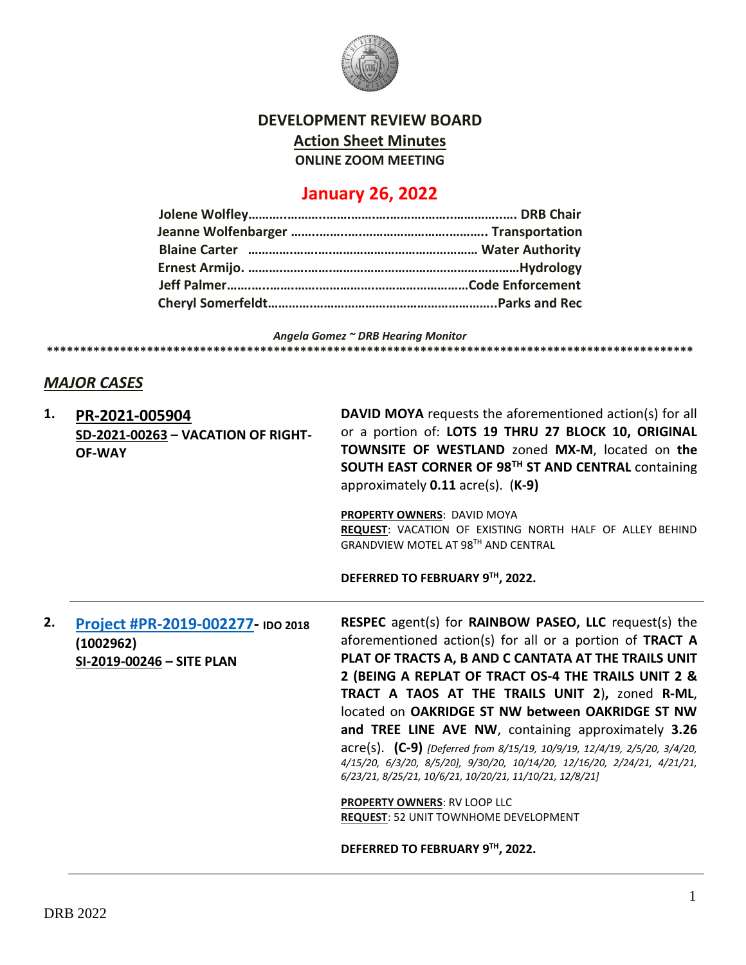

#### **DEVELOPMENT REVIEW BOARD**

**Action Sheet Minutes**

**ONLINE ZOOM MEETING**

# **January 26, 2022**

*Angela Gomez ~ DRB Hearing Monitor* **\*\*\*\*\*\*\*\*\*\*\*\*\*\*\*\*\*\*\*\*\*\*\*\*\*\*\*\*\*\*\*\*\*\*\*\*\*\*\*\*\*\*\*\*\*\*\*\*\*\*\*\*\*\*\*\*\*\*\*\*\*\*\*\*\*\*\*\*\*\*\*\*\*\*\*\*\*\*\*\*\*\*\*\*\*\*\*\*\*\*\*\*\*\*\*\*\***

#### *MAJOR CASES*

| 1. | PR-2021-005904<br>SD-2021-00263 - VACATION OF RIGHT-<br><b>OF-WAY</b>       | <b>DAVID MOYA</b> requests the aforementioned action(s) for all<br>or a portion of: LOTS 19 THRU 27 BLOCK 10, ORIGINAL<br>TOWNSITE OF WESTLAND zoned MX-M, located on the<br>SOUTH EAST CORNER OF 98TH ST AND CENTRAL containing<br>approximately $0.11$ acre(s). $(K-9)$<br>PROPERTY OWNERS: DAVID MOYA<br>REQUEST: VACATION OF EXISTING NORTH HALF OF ALLEY BEHIND<br>GRANDVIEW MOTEL AT 98TH AND CENTRAL<br>DEFERRED TO FEBRUARY 9TH, 2022.                                                                                                                                                                                                                                                                                       |
|----|-----------------------------------------------------------------------------|--------------------------------------------------------------------------------------------------------------------------------------------------------------------------------------------------------------------------------------------------------------------------------------------------------------------------------------------------------------------------------------------------------------------------------------------------------------------------------------------------------------------------------------------------------------------------------------------------------------------------------------------------------------------------------------------------------------------------------------|
| 2. | Project #PR-2019-002277- IDO 2018<br>(1002962)<br>SI-2019-00246 - SITE PLAN | RESPEC agent(s) for RAINBOW PASEO, LLC request(s) the<br>aforementioned action(s) for all or a portion of TRACT A<br>PLAT OF TRACTS A, B AND C CANTATA AT THE TRAILS UNIT<br>2 (BEING A REPLAT OF TRACT OS-4 THE TRAILS UNIT 2 &<br>TRACT A TAOS AT THE TRAILS UNIT 2), zoned R-ML,<br>located on OAKRIDGE ST NW between OAKRIDGE ST NW<br>and TREE LINE AVE NW, containing approximately 3.26<br>acre(s). (C-9) [Deferred from 8/15/19, 10/9/19, 12/4/19, 2/5/20, 3/4/20,<br>4/15/20, 6/3/20, 8/5/20], 9/30/20, 10/14/20, 12/16/20, 2/24/21, 4/21/21,<br>6/23/21, 8/25/21, 10/6/21, 10/20/21, 11/10/21, 12/8/21]<br>PROPERTY OWNERS: RV LOOP LLC<br><b>REQUEST: 52 UNIT TOWNHOME DEVELOPMENT</b><br>DEFERRED TO FEBRUARY 9TH, 2022. |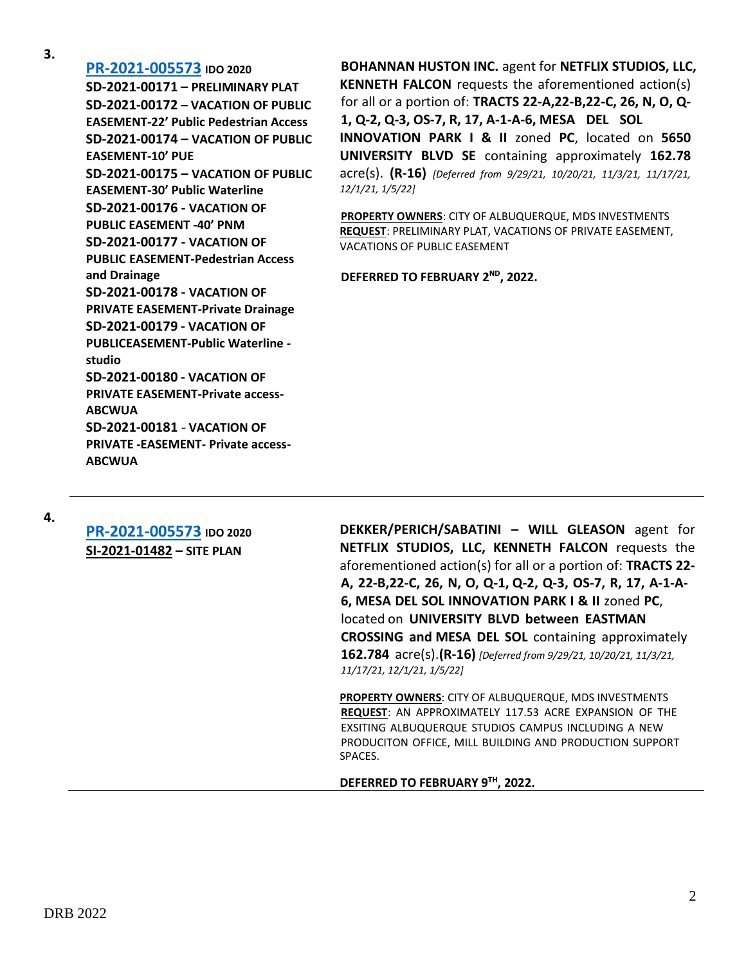**3.**

**[PR-2021-005573](http://data.cabq.gov/government/planning/DRB/PR-2021-005573/DRB%20Submittals/) IDO 2020 SD-2021-00171 – PRELIMINARY PLAT SD-2021-00172 – VACATION OF PUBLIC EASEMENT-22' Public Pedestrian Access SD-2021-00174 – VACATION OF PUBLIC EASEMENT-10' PUE SD-2021-00175 – VACATION OF PUBLIC EASEMENT-30' Public Waterline SD-2021-00176 - VACATION OF PUBLIC EASEMENT -40' PNM SD-2021-00177 - VACATION OF PUBLIC EASEMENT-Pedestrian Access and Drainage SD-2021-00178 - VACATION OF PRIVATE EASEMENT-Private Drainage SD-2021-00179 - VACATION OF PUBLICEASEMENT-Public Waterline studio SD-2021-00180 - VACATION OF PRIVATE EASEMENT-Private access-ABCWUA SD-2021-00181** - **VACATION OF PRIVATE -EASEMENT- Private access-ABCWUA**

**BOHANNAN HUSTON INC.** agent for **NETFLIX STUDIOS, LLC, KENNETH FALCON** requests the aforementioned action(s) for all or a portion of: **TRACTS 22-A,22-B,22-C, 26, N, O, Q-1, Q-2, Q-3, OS-7, R, 17, A-1-A-6, MESA DEL SOL INNOVATION PARK I & II** zoned **PC**, located on **5650 UNIVERSITY BLVD SE** containing approximately **162.78** acre(s). **(R-16)** *[Deferred from 9/29/21, 10/20/21, 11/3/21, 11/17/21, 12/1/21, 1/5/22]*

**PROPERTY OWNERS**: CITY OF ALBUQUERQUE, MDS INVESTMENTS **REQUEST**: PRELIMINARY PLAT, VACATIONS OF PRIVATE EASEMENT, VACATIONS OF PUBLIC EASEMENT

**DEFERRED TO FEBRUARY 2ND, 2022.**

**4.**

**[PR-2021-005573](http://data.cabq.gov/government/planning/DRB/PR-2021-005573/DRB%20Submittals/) IDO 2020 SI-2021-01482 – SITE PLAN**

**DEKKER/PERICH/SABATINI – WILL GLEASON** agent for **NETFLIX STUDIOS, LLC, KENNETH FALCON** requests the aforementioned action(s) for all or a portion of: **TRACTS 22- A, 22-B,22-C, 26, N, O, Q-1, Q-2, Q-3, OS-7, R, 17, A-1-A-6, MESA DEL SOL INNOVATION PARK I & II** zoned **PC**, located on **UNIVERSITY BLVD between EASTMAN CROSSING and MESA DEL SOL** containing approximately **162.784** acre(s).**(R-16)** *[Deferred from 9/29/21, 10/20/21, 11/3/21, 11/17/21, 12/1/21, 1/5/22]*

**PROPERTY OWNERS**: CITY OF ALBUQUERQUE, MDS INVESTMENTS **REQUEST**: AN APPROXIMATELY 117.53 ACRE EXPANSION OF THE EXSITING ALBUQUERQUE STUDIOS CAMPUS INCLUDING A NEW PRODUCITON OFFICE, MILL BUILDING AND PRODUCTION SUPPORT SPACES.

**DEFERRED TO FEBRUARY 9TH, 2022.**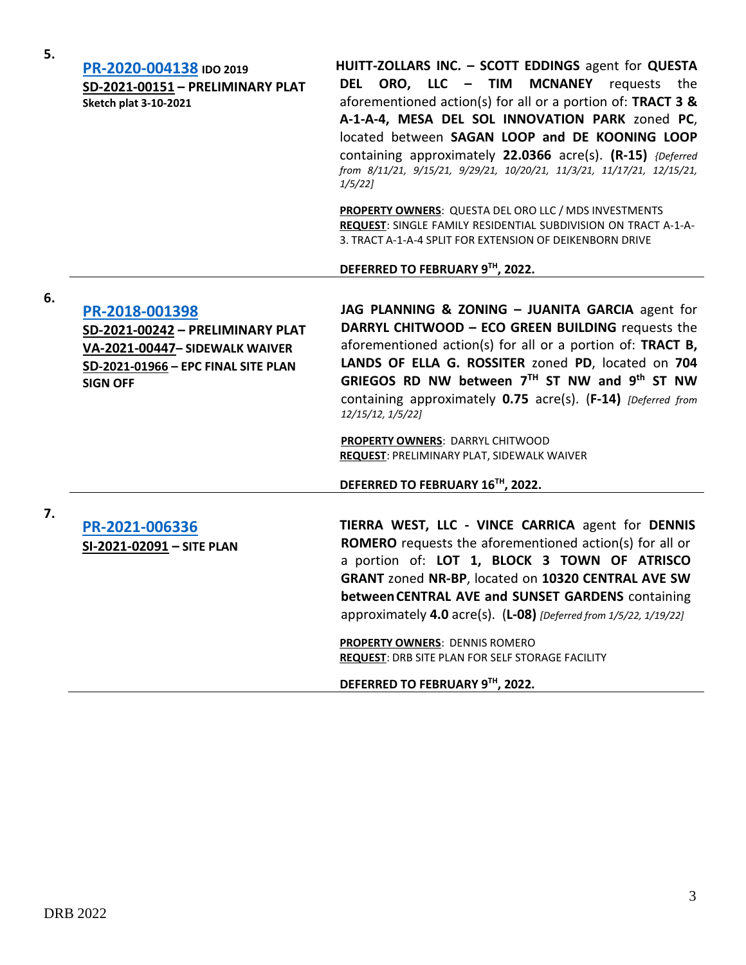| 5. | PR-2020-004138 IDO 2019<br>SD-2021-00151 - PRELIMINARY PLAT<br><b>Sketch plat 3-10-2021</b>                                                    | HUITT-ZOLLARS INC. - SCOTT EDDINGS agent for QUESTA<br>DEL ORO, LLC - TIM MCNANEY requests the<br>aforementioned action(s) for all or a portion of: TRACT 3 &<br>A-1-A-4, MESA DEL SOL INNOVATION PARK zoned PC,<br>located between SAGAN LOOP and DE KOONING LOOP<br>containing approximately 22.0366 acre(s). (R-15) {Deferred<br>from 8/11/21, 9/15/21, 9/29/21, 10/20/21, 11/3/21, 11/17/21, 12/15/21,<br>$1/5/22$ ]                    |
|----|------------------------------------------------------------------------------------------------------------------------------------------------|---------------------------------------------------------------------------------------------------------------------------------------------------------------------------------------------------------------------------------------------------------------------------------------------------------------------------------------------------------------------------------------------------------------------------------------------|
|    |                                                                                                                                                | PROPERTY OWNERS: QUESTA DEL ORO LLC / MDS INVESTMENTS<br>REQUEST: SINGLE FAMILY RESIDENTIAL SUBDIVISION ON TRACT A-1-A-<br>3. TRACT A-1-A-4 SPLIT FOR EXTENSION OF DEIKENBORN DRIVE                                                                                                                                                                                                                                                         |
|    |                                                                                                                                                | DEFERRED TO FEBRUARY 9TH, 2022.                                                                                                                                                                                                                                                                                                                                                                                                             |
| 6. | PR-2018-001398<br>SD-2021-00242 - PRELIMINARY PLAT<br>VA-2021-00447- SIDEWALK WAIVER<br>SD-2021-01966 - EPC FINAL SITE PLAN<br><b>SIGN OFF</b> | JAG PLANNING & ZONING - JUANITA GARCIA agent for<br>DARRYL CHITWOOD - ECO GREEN BUILDING requests the<br>aforementioned action(s) for all or a portion of: TRACT B,<br>LANDS OF ELLA G. ROSSITER zoned PD, located on 704<br>GRIEGOS RD NW between $7TH$ ST NW and 9 <sup>th</sup> ST NW<br>containing approximately 0.75 acre(s). (F-14) [Deferred from<br>12/15/12, 1/5/22]                                                               |
|    |                                                                                                                                                | PROPERTY OWNERS: DARRYL CHITWOOD<br><b>REQUEST: PRELIMINARY PLAT, SIDEWALK WAIVER</b>                                                                                                                                                                                                                                                                                                                                                       |
|    |                                                                                                                                                | DEFERRED TO FEBRUARY 16™, 2022.                                                                                                                                                                                                                                                                                                                                                                                                             |
| 7. | PR-2021-006336<br>SI-2021-02091 - SITE PLAN                                                                                                    | TIERRA WEST, LLC - VINCE CARRICA agent for DENNIS<br><b>ROMERO</b> requests the aforementioned action(s) for all or<br>a portion of: LOT 1, BLOCK 3 TOWN OF ATRISCO<br>GRANT zoned NR-BP, located on 10320 CENTRAL AVE SW<br>between CENTRAL AVE and SUNSET GARDENS containing<br>approximately 4.0 acre(s). $(L-08)$ [Deferred from 1/5/22, 1/19/22]<br>PROPERTY OWNERS: DENNIS ROMERO<br>REQUEST: DRB SITE PLAN FOR SELF STORAGE FACILITY |
|    |                                                                                                                                                | DEFERRED TO FEBRUARY 9TH, 2022.                                                                                                                                                                                                                                                                                                                                                                                                             |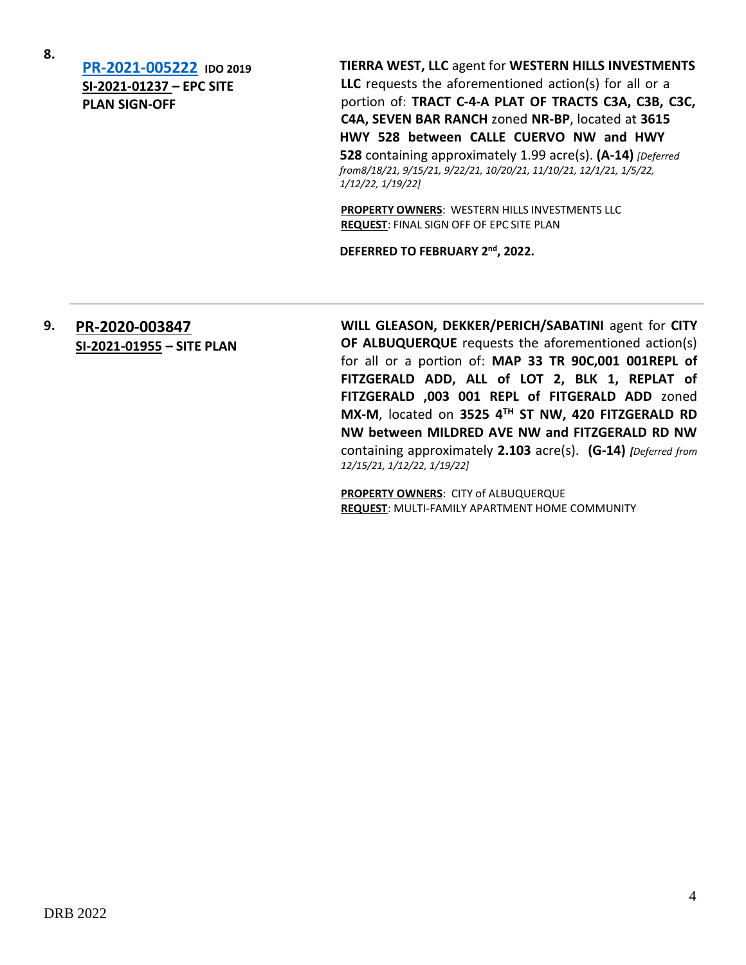**8.**

**[PR-2021-005222](http://data.cabq.gov/government/planning/DRB/PR-2021-005222/DRB%20Submittals/) IDO 2019 SI-2021-01237 – EPC SITE PLAN SIGN-OFF**

**TIERRA WEST, LLC** agent for **WESTERN HILLS INVESTMENTS LLC** requests the aforementioned action(s) for all or a portion of: **TRACT C-4-A PLAT OF TRACTS C3A, C3B, C3C, C4A, SEVEN BAR RANCH** zoned **NR-BP**, located at **3615 HWY 528 between CALLE CUERVO NW and HWY 528** containing approximately 1.99 acre(s). **(A-14)** *[Deferred from8/18/21, 9/15/21, 9/22/21, 10/20/21, 11/10/21, 12/1/21, 1/5/22, 1/12/22, 1/19/22]*

**PROPERTY OWNERS**: WESTERN HILLS INVESTMENTS LLC **REQUEST**: FINAL SIGN OFF OF EPC SITE PLAN

DEFERRED TO FEBRUARY 2<sup>nd</sup>, 2022.

### **9. [PR-2020-003847](http://data.cabq.gov/government/planning/DRB/PR-2020-003847/DRB%20Submittals/) SI-2021-01955 – SITE PLAN**

**WILL GLEASON, DEKKER/PERICH/SABATINI** agent for **CITY OF ALBUQUERQUE** requests the aforementioned action(s) for all or a portion of: **MAP 33 TR 90C,001 001REPL of FITZGERALD ADD, ALL of LOT 2, BLK 1, REPLAT of FITZGERALD ,003 001 REPL of FITGERALD ADD** zoned **MX-M**, located on **3525 4TH ST NW, 420 FITZGERALD RD NW between MILDRED AVE NW and FITZGERALD RD NW**  containing approximately **2.103** acre(s). **(G-14)** *[Deferred from 12/15/21, 1/12/22, 1/19/22]*

**PROPERTY OWNERS**: CITY of ALBUQUERQUE **REQUEST**: MULTI-FAMILY APARTMENT HOME COMMUNITY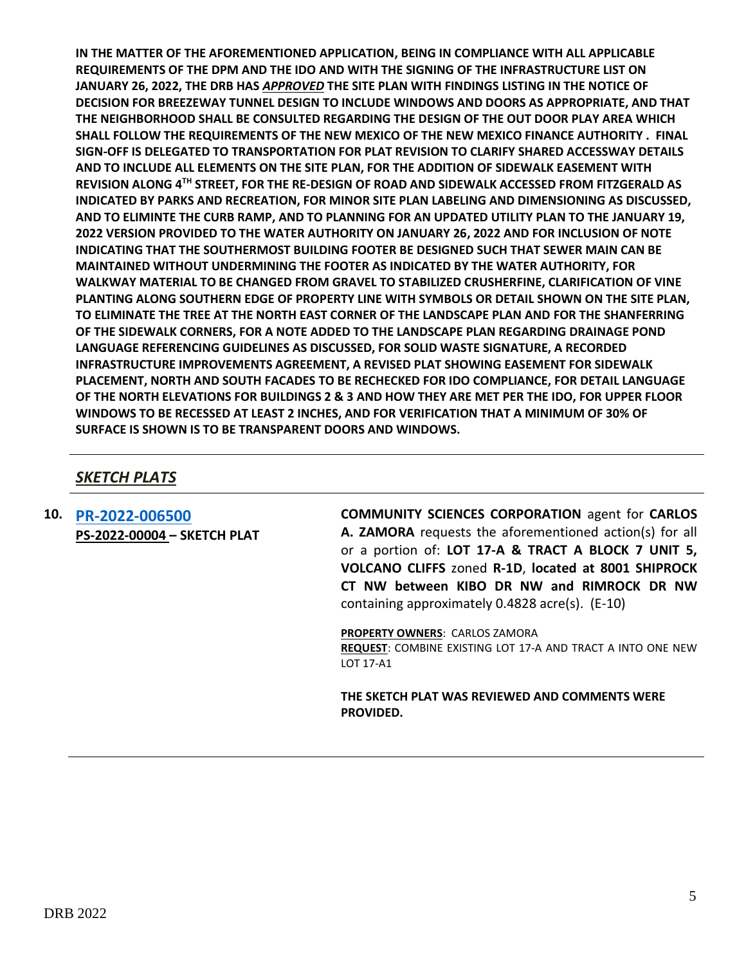**IN THE MATTER OF THE AFOREMENTIONED APPLICATION, BEING IN COMPLIANCE WITH ALL APPLICABLE REQUIREMENTS OF THE DPM AND THE IDO AND WITH THE SIGNING OF THE INFRASTRUCTURE LIST ON JANUARY 26, 2022, THE DRB HAS** *APPROVED* **THE SITE PLAN WITH FINDINGS LISTING IN THE NOTICE OF DECISION FOR BREEZEWAY TUNNEL DESIGN TO INCLUDE WINDOWS AND DOORS AS APPROPRIATE, AND THAT THE NEIGHBORHOOD SHALL BE CONSULTED REGARDING THE DESIGN OF THE OUT DOOR PLAY AREA WHICH SHALL FOLLOW THE REQUIREMENTS OF THE NEW MEXICO OF THE NEW MEXICO FINANCE AUTHORITY . FINAL SIGN-OFF IS DELEGATED TO TRANSPORTATION FOR PLAT REVISION TO CLARIFY SHARED ACCESSWAY DETAILS AND TO INCLUDE ALL ELEMENTS ON THE SITE PLAN, FOR THE ADDITION OF SIDEWALK EASEMENT WITH REVISION ALONG 4TH STREET, FOR THE RE-DESIGN OF ROAD AND SIDEWALK ACCESSED FROM FITZGERALD AS INDICATED BY PARKS AND RECREATION, FOR MINOR SITE PLAN LABELING AND DIMENSIONING AS DISCUSSED, AND TO ELIMINTE THE CURB RAMP, AND TO PLANNING FOR AN UPDATED UTILITY PLAN TO THE JANUARY 19, 2022 VERSION PROVIDED TO THE WATER AUTHORITY ON JANUARY 26, 2022 AND FOR INCLUSION OF NOTE INDICATING THAT THE SOUTHERMOST BUILDING FOOTER BE DESIGNED SUCH THAT SEWER MAIN CAN BE MAINTAINED WITHOUT UNDERMINING THE FOOTER AS INDICATED BY THE WATER AUTHORITY, FOR WALKWAY MATERIAL TO BE CHANGED FROM GRAVEL TO STABILIZED CRUSHERFINE, CLARIFICATION OF VINE PLANTING ALONG SOUTHERN EDGE OF PROPERTY LINE WITH SYMBOLS OR DETAIL SHOWN ON THE SITE PLAN, TO ELIMINATE THE TREE AT THE NORTH EAST CORNER OF THE LANDSCAPE PLAN AND FOR THE SHANFERRING OF THE SIDEWALK CORNERS, FOR A NOTE ADDED TO THE LANDSCAPE PLAN REGARDING DRAINAGE POND LANGUAGE REFERENCING GUIDELINES AS DISCUSSED, FOR SOLID WASTE SIGNATURE, A RECORDED INFRASTRUCTURE IMPROVEMENTS AGREEMENT, A REVISED PLAT SHOWING EASEMENT FOR SIDEWALK PLACEMENT, NORTH AND SOUTH FACADES TO BE RECHECKED FOR IDO COMPLIANCE, FOR DETAIL LANGUAGE OF THE NORTH ELEVATIONS FOR BUILDINGS 2 & 3 AND HOW THEY ARE MET PER THE IDO, FOR UPPER FLOOR WINDOWS TO BE RECESSED AT LEAST 2 INCHES, AND FOR VERIFICATION THAT A MINIMUM OF 30% OF SURFACE IS SHOWN IS TO BE TRANSPARENT DOORS AND WINDOWS.**

## *SKETCH PLATS*

**10. [PR-2022-006500](http://data.cabq.gov/government/planning/DRB/) PS-2022-00004 – SKETCH PLAT** **COMMUNITY SCIENCES CORPORATION** agent for **CARLOS A. ZAMORA** requests the aforementioned action(s) for all or a portion of: **LOT 17-A & TRACT A BLOCK 7 UNIT 5, VOLCANO CLIFFS** zoned **R-1D**, **located at 8001 SHIPROCK CT NW between KIBO DR NW and RIMROCK DR NW**  containing approximately 0.4828 acre(s). (E-10)

**PROPERTY OWNERS**: CARLOS ZAMORA **REQUEST**: COMBINE EXISTING LOT 17-A AND TRACT A INTO ONE NEW LOT 17-A1

**THE SKETCH PLAT WAS REVIEWED AND COMMENTS WERE PROVIDED.**